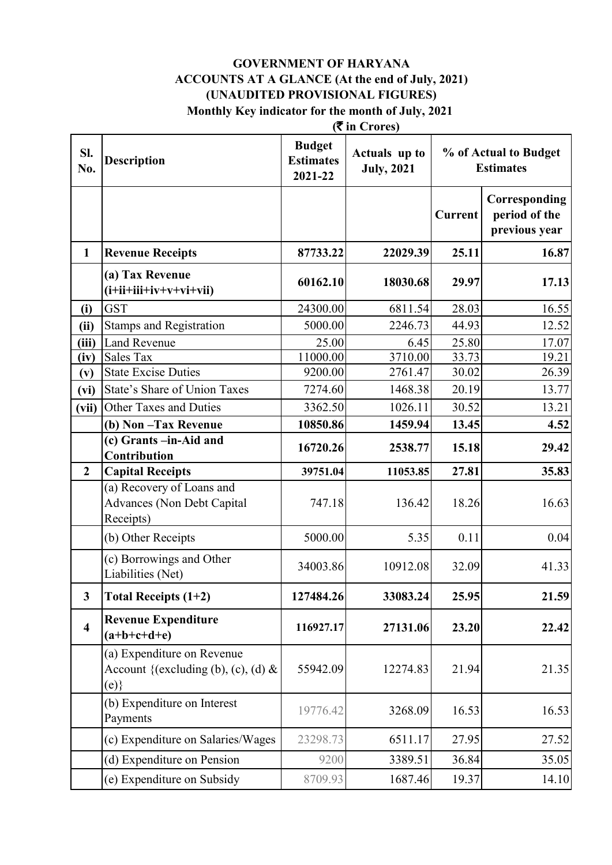#### **(**` **in Crores) GOVERNMENT OF HARYANA ACCOUNTS AT A GLANCE (At the end of July, 2021) (UNAUDITED PROVISIONAL FIGURES) Monthly Key indicator for the month of July, 2021**

| Sl.<br>No.              | <b>Description</b>                                                          | <b>Budget</b><br><b>Estimates</b><br>2021-22 | Actuals up to<br><b>July, 2021</b> |         | % of Actual to Budget<br><b>Estimates</b>       |
|-------------------------|-----------------------------------------------------------------------------|----------------------------------------------|------------------------------------|---------|-------------------------------------------------|
|                         |                                                                             |                                              |                                    | Current | Corresponding<br>period of the<br>previous year |
| $\mathbf{1}$            | <b>Revenue Receipts</b>                                                     | 87733.22                                     | 22029.39                           | 25.11   | 16.87                                           |
|                         | (a) Tax Revenue<br>$(i+iii+iiv+v+vi+vi)$                                    | 60162.10                                     | 18030.68                           | 29.97   | 17.13                                           |
| (i)                     | <b>GST</b>                                                                  | 24300.00                                     | 6811.54                            | 28.03   | 16.55                                           |
| (ii)                    | <b>Stamps and Registration</b>                                              | 5000.00                                      | 2246.73                            | 44.93   | 12.52                                           |
| (iii)                   | <b>Land Revenue</b>                                                         | 25.00                                        | 6.45                               | 25.80   | 17.07                                           |
| (iv)                    | Sales Tax                                                                   | 11000.00                                     | 3710.00                            | 33.73   | 19.21                                           |
| (v)                     | <b>State Excise Duties</b>                                                  | 9200.00                                      | 2761.47                            | 30.02   | 26.39                                           |
| (vi)                    | State's Share of Union Taxes                                                | 7274.60                                      | 1468.38                            | 20.19   | 13.77                                           |
| (vii)                   | Other Taxes and Duties                                                      | 3362.50                                      | 1026.11                            | 30.52   | 13.21                                           |
|                         | (b) Non-Tax Revenue                                                         | 10850.86                                     | 1459.94                            | 13.45   | 4.52                                            |
|                         | (c) Grants -in-Aid and<br>Contribution                                      | 16720.26                                     | 2538.77                            | 15.18   | 29.42                                           |
| $\overline{2}$          | <b>Capital Receipts</b>                                                     | 39751.04                                     | 11053.85                           | 27.81   | 35.83                                           |
|                         | (a) Recovery of Loans and<br><b>Advances (Non Debt Capital</b><br>Receipts) | 747.18                                       | 136.42                             | 18.26   | 16.63                                           |
|                         | (b) Other Receipts                                                          | 5000.00                                      | 5.35                               | 0.11    | 0.04                                            |
|                         | (c) Borrowings and Other<br>Liabilities (Net)                               | 34003.86                                     | 10912.08                           | 32.09   | 41.33                                           |
| $\overline{\mathbf{3}}$ | <b>Total Receipts (1+2)</b>                                                 | 127484.26                                    | 33083.24                           | 25.95   | 21.59                                           |
| $\overline{\mathbf{4}}$ | <b>Revenue Expenditure</b><br>$(a+b+c+d+e)$                                 | 116927.17                                    | 27131.06                           | 23.20   | 22.42                                           |
|                         | (a) Expenditure on Revenue<br>Account {(excluding (b), (c), (d) $\&$<br>(e) | 55942.09                                     | 12274.83                           | 21.94   | 21.35                                           |
|                         | (b) Expenditure on Interest<br>Payments                                     | 19776.42                                     | 3268.09                            | 16.53   | 16.53                                           |
|                         | (c) Expenditure on Salaries/Wages                                           | 23298.73                                     | 6511.17                            | 27.95   | 27.52                                           |
|                         | (d) Expenditure on Pension                                                  | 9200                                         | 3389.51                            | 36.84   | 35.05                                           |
|                         | (e) Expenditure on Subsidy                                                  | 8709.93                                      | 1687.46                            | 19.37   | 14.10                                           |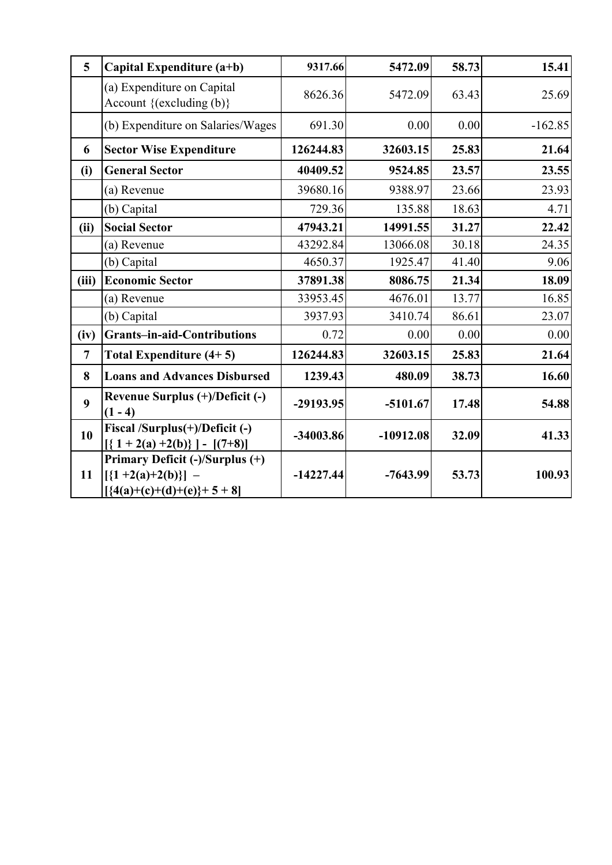| 5              | Capital Expenditure (a+b)                                                              | 9317.66     | 5472.09     | 58.73 | 15.41     |
|----------------|----------------------------------------------------------------------------------------|-------------|-------------|-------|-----------|
|                | (a) Expenditure on Capital<br>Account $\{(\text{excluding } (b)\}\)$                   | 8626.36     | 5472.09     | 63.43 | 25.69     |
|                | (b) Expenditure on Salaries/Wages                                                      | 691.30      | 0.00        | 0.00  | $-162.85$ |
| 6              | <b>Sector Wise Expenditure</b>                                                         | 126244.83   | 32603.15    | 25.83 | 21.64     |
| (i)            | <b>General Sector</b>                                                                  | 40409.52    | 9524.85     | 23.57 | 23.55     |
|                | (a) Revenue                                                                            | 39680.16    | 9388.97     | 23.66 | 23.93     |
|                | (b) Capital                                                                            | 729.36      | 135.88      | 18.63 | 4.71      |
| (ii)           | <b>Social Sector</b>                                                                   | 47943.21    | 14991.55    | 31.27 | 22.42     |
|                | (a) Revenue                                                                            | 43292.84    | 13066.08    | 30.18 | 24.35     |
|                | (b) Capital                                                                            | 4650.37     | 1925.47     | 41.40 | 9.06      |
| (iii)          | <b>Economic Sector</b>                                                                 | 37891.38    | 8086.75     | 21.34 | 18.09     |
|                | (a) Revenue                                                                            | 33953.45    | 4676.01     | 13.77 | 16.85     |
|                | (b) Capital                                                                            | 3937.93     | 3410.74     | 86.61 | 23.07     |
| (iv)           | Grants-in-aid-Contributions                                                            | 0.72        | 0.00        | 0.00  | 0.00      |
| $\overline{7}$ | Total Expenditure $(4+5)$                                                              | 126244.83   | 32603.15    | 25.83 | 21.64     |
| 8              | <b>Loans and Advances Disbursed</b>                                                    | 1239.43     | 480.09      | 38.73 | 16.60     |
| 9              | Revenue Surplus (+)/Deficit (-)<br>$(1 - 4)$                                           | $-29193.95$ | $-5101.67$  | 17.48 | 54.88     |
| 10             | Fiscal /Surplus(+)/Deficit (-)<br>$[(1 + 2(a) +2(b))] - [(7+8)]$                       | -34003.86   | $-10912.08$ | 32.09 | 41.33     |
| 11             | Primary Deficit (-)/Surplus (+)<br>$[\{1+2(a)+2(b)\}]$ –<br>$[{4(a)+(c)+(d)+(e)}+5+8]$ | $-14227.44$ | $-7643.99$  | 53.73 | 100.93    |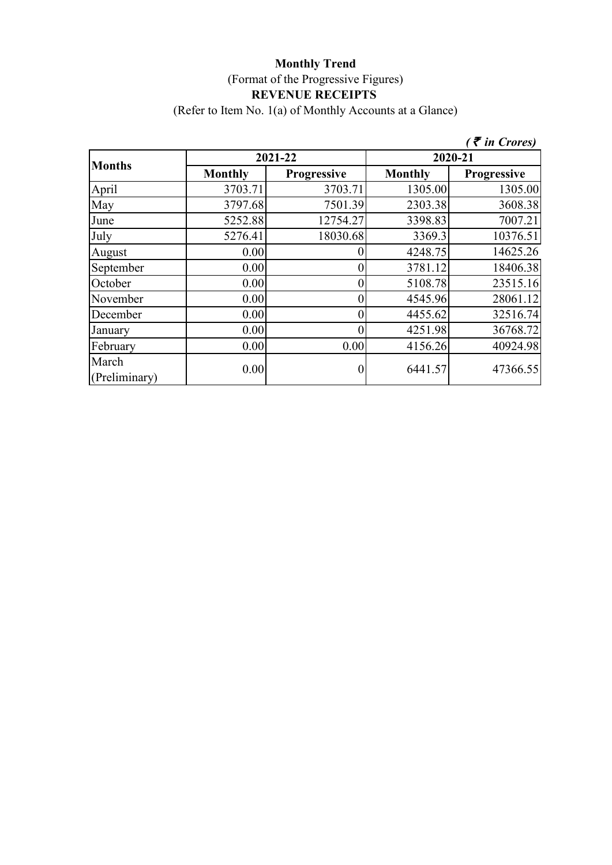#### **Monthly Trend** (Format of the Progressive Figures) **REVENUE RECEIPTS**  (Refer to Item No. 1(a) of Monthly Accounts at a Glance)

|                        |                |             |                | $\zeta$ <i>(† in Crores)</i> |  |
|------------------------|----------------|-------------|----------------|------------------------------|--|
| <b>Months</b>          |                | 2021-22     | 2020-21        |                              |  |
|                        | <b>Monthly</b> | Progressive | <b>Monthly</b> | Progressive                  |  |
| April                  | 3703.71        | 3703.71     | 1305.00        | 1305.00                      |  |
| May                    | 3797.68        | 7501.39     | 2303.38        | 3608.38                      |  |
| June                   | 5252.88        | 12754.27    | 3398.83        | 7007.21                      |  |
| July                   | 5276.41        | 18030.68    | 3369.3         | 10376.51                     |  |
| August                 | 0.00           |             | 4248.75        | 14625.26                     |  |
| September              | 0.00           |             | 3781.12        | 18406.38                     |  |
| October                | 0.00           |             | 5108.78        | 23515.16                     |  |
| November               | 0.00           |             | 4545.96        | 28061.12                     |  |
| December               | 0.00           |             | 4455.62        | 32516.74                     |  |
| January                | 0.00           |             | 4251.98        | 36768.72                     |  |
| February               | 0.00           | 0.00        | 4156.26        | 40924.98                     |  |
| March<br>(Preliminary) | 0.00           |             | 6441.57        | 47366.55                     |  |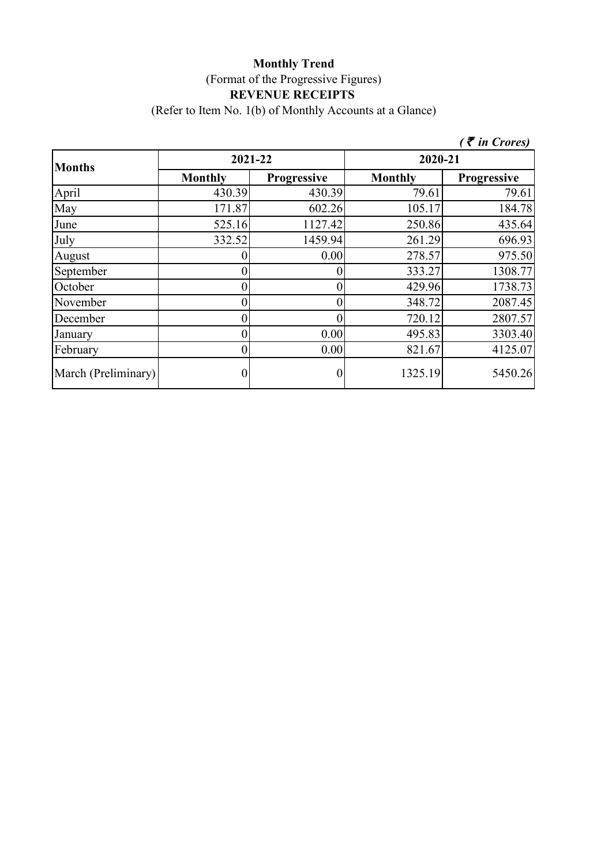#### **Monthly Trend** (Format of the Progressive Figures) **REVENUE RECEIPTS**  (Refer to Item No. 1(b) of Monthly Accounts at a Glance)

**Monthly Progressive Monthly Progressive** April 1990.39 430.39 430.39 79.61 79.61 May 171.87 602.26 105.17 184.78 June 1127.42 250.86 435.64 July 332.52 1459.94 261.29 696.93 August 1 0 0 0.00 278.57 975.50 September 0 0 333.27 1308.77 October 1738.73 November 0 0 348.72 2087.45 December  $0 \t 0 \t 720.12 \t 2807.57$ January 10 0 0 0.00 495.83 3303.40 February 10 0 0 0.00 821.67 4125.07 March (Preliminary)  $\begin{array}{ccc} 0 & 0 & 1325.19 & 5450.26 \end{array}$ **Months 2021-22 2020-21** *(* ` *in Crores)*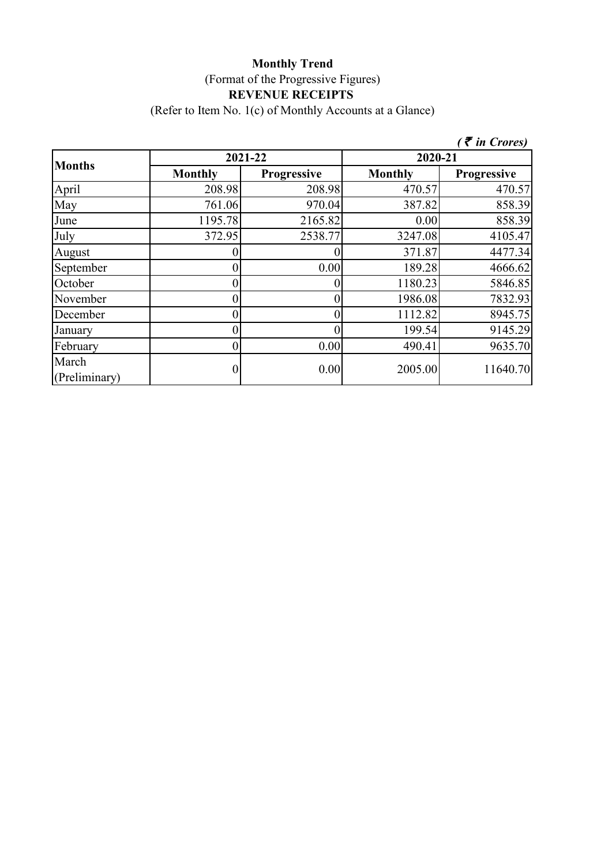#### **Monthly Trend** (Format of the Progressive Figures) **REVENUE RECEIPTS**  (Refer to Item No. 1(c) of Monthly Accounts at a Glance)

|                        |                  |             |                | $($ ₹ in Crores) |
|------------------------|------------------|-------------|----------------|------------------|
|                        | 2021-22          |             | 2020-21        |                  |
| <b>Months</b>          | <b>Monthly</b>   | Progressive | <b>Monthly</b> | Progressive      |
| April                  | 208.98           | 208.98      | 470.57         | 470.57           |
| May                    | 761.06           | 970.04      | 387.82         | 858.39           |
| June                   | 1195.78          | 2165.82     | 0.00           | 858.39           |
| July                   | 372.95           | 2538.77     | 3247.08        | 4105.47          |
| August                 |                  |             | 371.87         | 4477.34          |
| September              | 0                | 0.00        | 189.28         | 4666.62          |
| October                | 0                |             | 1180.23        | 5846.85          |
| November               | 0                |             | 1986.08        | 7832.93          |
| December               | 0                | 0           | 1112.82        | 8945.75          |
| January                | 0                | 0           | 199.54         | 9145.29          |
| February               | $\boldsymbol{0}$ | 0.00        | 490.41         | 9635.70          |
| March<br>(Preliminary) | 0                | 0.00        | 2005.00        | 11640.70         |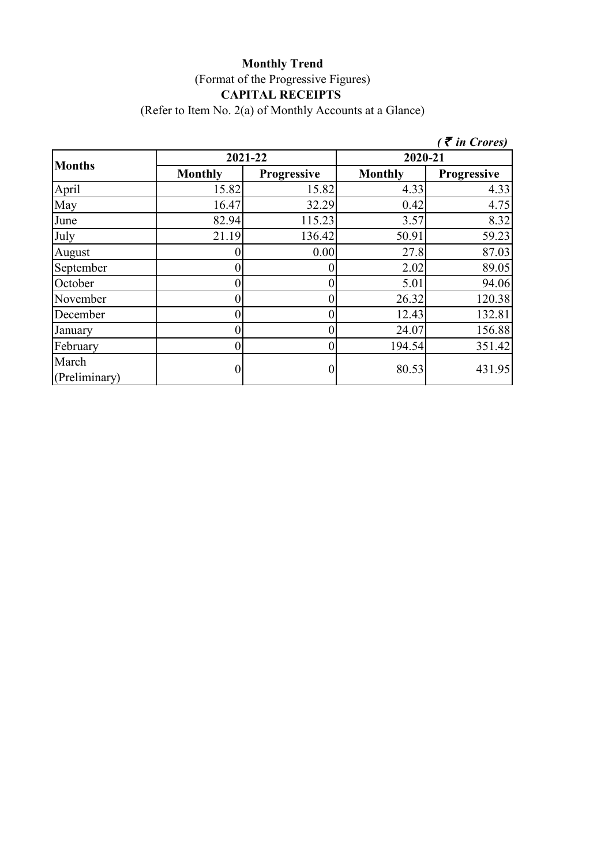# **Monthly Trend** (Format of the Progressive Figures) **CAPITAL RECEIPTS**

(Refer to Item No. 2(a) of Monthly Accounts at a Glance)

|                        |                  |             |                | $($ $\bar{\bar{\tau}}$ in Crores) |
|------------------------|------------------|-------------|----------------|-----------------------------------|
| <b>Months</b>          | 2021-22          |             | 2020-21        |                                   |
|                        | <b>Monthly</b>   | Progressive | <b>Monthly</b> | <b>Progressive</b>                |
| April                  | 15.82            | 15.82       | 4.33           | 4.33                              |
| May                    | 16.47            | 32.29       | 0.42           | 4.75                              |
| June                   | 82.94            | 115.23      | 3.57           | 8.32                              |
| July                   | 21.19            | 136.42      | 50.91          | 59.23                             |
| August                 | 0                | 0.00        | 27.8           | 87.03                             |
| September              | $\overline{0}$   |             | 2.02           | 89.05                             |
| October                | $\theta$         |             | 5.01           | 94.06                             |
| November               | $\boldsymbol{0}$ |             | 26.32          | 120.38                            |
| December               | $\overline{0}$   |             | 12.43          | 132.81                            |
| January                | $\theta$         |             | 24.07          | 156.88                            |
| February               | $\overline{0}$   | 0           | 194.54         | 351.42                            |
| March<br>(Preliminary) | $\boldsymbol{0}$ |             | 80.53          | 431.95                            |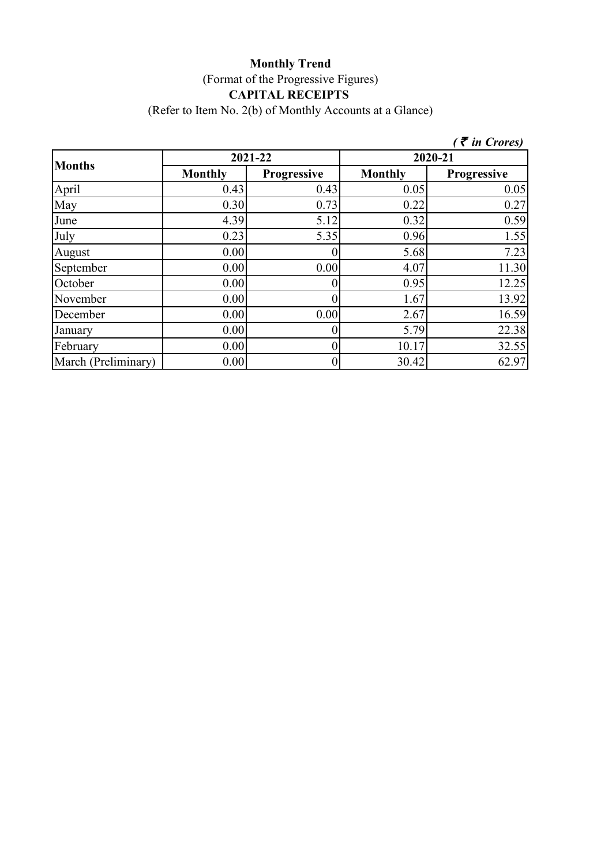### **Monthly Trend** (Format of the Progressive Figures) **CAPITAL RECEIPTS**  (Refer to Item No. 2(b) of Monthly Accounts at a Glance)

|                     |                |                |                | $($ ₹ in Crores)   |  |
|---------------------|----------------|----------------|----------------|--------------------|--|
| <b>Months</b>       | 2021-22        |                | 2020-21        |                    |  |
|                     | <b>Monthly</b> | Progressive    | <b>Monthly</b> | <b>Progressive</b> |  |
| April               | 0.43           | 0.43           | 0.05           | 0.05               |  |
| May                 | 0.30           | 0.73           | 0.22           | 0.27               |  |
| June                | 4.39           | 5.12           | 0.32           | 0.59               |  |
| July                | 0.23           | 5.35           | 0.96           | 1.55               |  |
| August              | 0.00           |                | 5.68           | 7.23               |  |
| September           | 0.00           | 0.00           | 4.07           | 11.30              |  |
| October             | 0.00           |                | 0.95           | 12.25              |  |
| November            | 0.00           |                | 1.67           | 13.92              |  |
| December            | 0.00           | 0.00           | 2.67           | 16.59              |  |
| January             | 0.00           | 0              | 5.79           | 22.38              |  |
| February            | 0.00           | 0              | 10.17          | 32.55              |  |
| March (Preliminary) | 0.00           | $\overline{0}$ | 30.42          | 62.97              |  |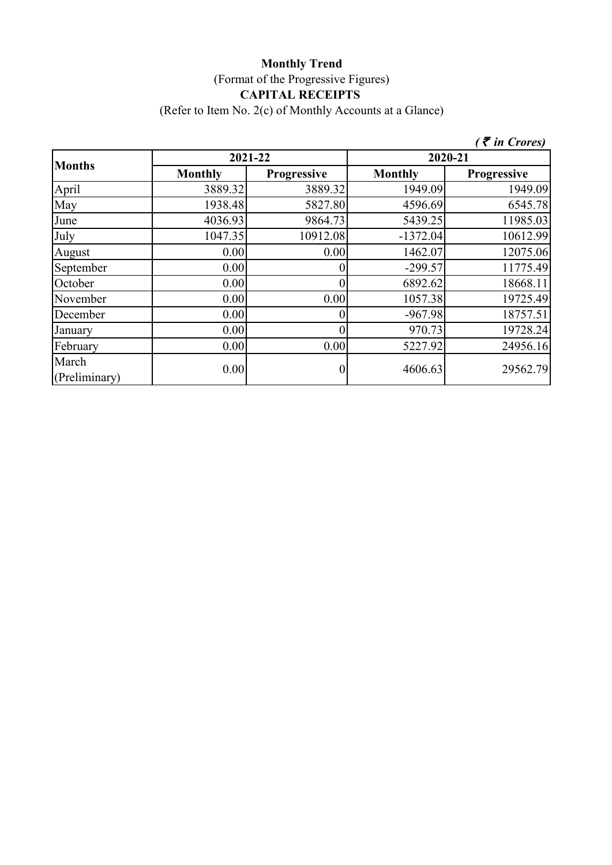# **Monthly Trend** (Format of the Progressive Figures) **CAPITAL RECEIPTS**

(Refer to Item No. 2(c) of Monthly Accounts at a Glance)

|                        |                |             |                | $($ $\bar{\bar{\tau}}$ in Crores) |
|------------------------|----------------|-------------|----------------|-----------------------------------|
| <b>Months</b>          | 2021-22        |             |                | 2020-21                           |
|                        | <b>Monthly</b> | Progressive | <b>Monthly</b> | Progressive                       |
| April                  | 3889.32        | 3889.32     | 1949.09        | 1949.09                           |
| May                    | 1938.48        | 5827.80     | 4596.69        | 6545.78                           |
| June                   | 4036.93        | 9864.73     | 5439.25        | 11985.03                          |
| July                   | 1047.35        | 10912.08    | $-1372.04$     | 10612.99                          |
| August                 | 0.00           | 0.00        | 1462.07        | 12075.06                          |
| September              | 0.00           |             | $-299.57$      | 11775.49                          |
| October                | 0.00           | 0           | 6892.62        | 18668.11                          |
| November               | 0.00           | 0.00        | 1057.38        | 19725.49                          |
| December               | 0.00           |             | $-967.98$      | 18757.51                          |
| January                | 0.00           | 0           | 970.73         | 19728.24                          |
| February               | 0.00           | 0.00        | 5227.92        | 24956.16                          |
| March<br>(Preliminary) | 0.00           |             | 4606.63        | 29562.79                          |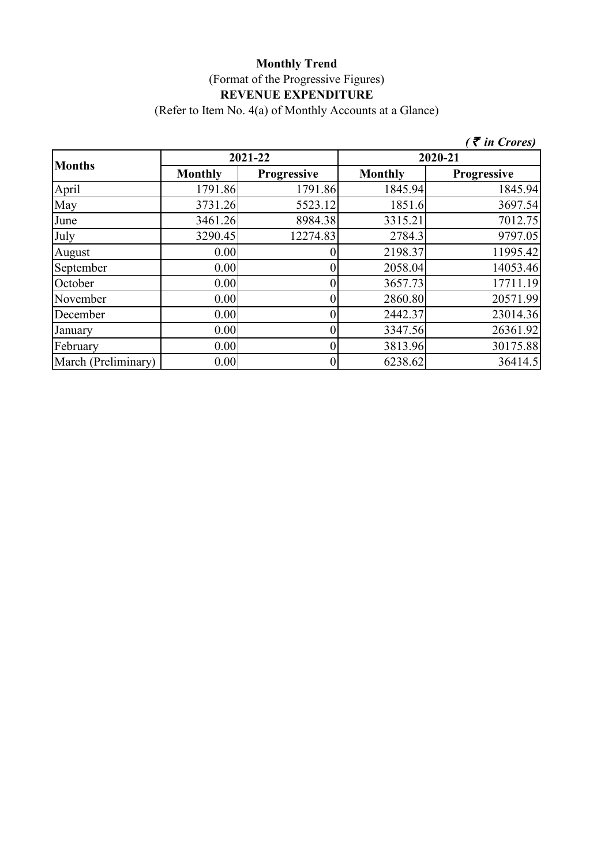(Refer to Item No. 4(a) of Monthly Accounts at a Glance)

|                     |                |             |                | $($ $\bar{\bar{\tau}}$ in Crores) |  |
|---------------------|----------------|-------------|----------------|-----------------------------------|--|
| <b>Months</b>       |                | 2021-22     | 2020-21        |                                   |  |
|                     | <b>Monthly</b> | Progressive | <b>Monthly</b> | Progressive                       |  |
| April               | 1791.86        | 1791.86     | 1845.94        | 1845.94                           |  |
| May                 | 3731.26        | 5523.12     | 1851.6         | 3697.54                           |  |
| June                | 3461.26        | 8984.38     | 3315.21        | 7012.75                           |  |
| July                | 3290.45        | 12274.83    | 2784.3         | 9797.05                           |  |
| August              | 0.00           |             | 2198.37        | 11995.42                          |  |
| September           | 0.00           |             | 2058.04        | 14053.46                          |  |
| October             | 0.00           | 0           | 3657.73        | 17711.19                          |  |
| November            | 0.00           | 0           | 2860.80        | 20571.99                          |  |
| December            | 0.00           |             | 2442.37        | 23014.36                          |  |
| January             | 0.00           |             | 3347.56        | 26361.92                          |  |
| February            | 0.00           |             | 3813.96        | 30175.88                          |  |
| March (Preliminary) | 0.00           | 0           | 6238.62        | 36414.5                           |  |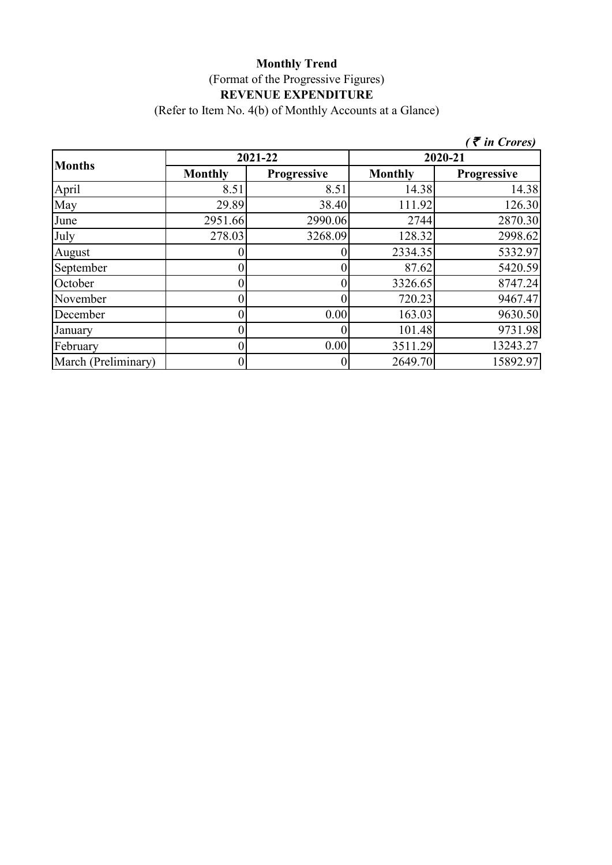(Refer to Item No. 4(b) of Monthly Accounts at a Glance)

|                     |                |                    |                | $($ ₹ in Crores)   |  |
|---------------------|----------------|--------------------|----------------|--------------------|--|
| <b>Months</b>       |                | 2021-22            | 2020-21        |                    |  |
|                     | <b>Monthly</b> | <b>Progressive</b> | <b>Monthly</b> | <b>Progressive</b> |  |
| April               | 8.51           | 8.51               | 14.38          | 14.38              |  |
| May                 | 29.89          | 38.40              | 111.92         | 126.30             |  |
| June                | 2951.66        | 2990.06            | 2744           | 2870.30            |  |
| July                | 278.03         | 3268.09            | 128.32         | 2998.62            |  |
| August              |                |                    | 2334.35        | 5332.97            |  |
| September           |                |                    | 87.62          | 5420.59            |  |
| October             |                |                    | 3326.65        | 8747.24            |  |
| November            |                |                    | 720.23         | 9467.47            |  |
| December            |                | 0.00               | 163.03         | 9630.50            |  |
| January             |                |                    | 101.48         | 9731.98            |  |
| February            |                | 0.00               | 3511.29        | 13243.27           |  |
| March (Preliminary) |                | $\overline{0}$     | 2649.70        | 15892.97           |  |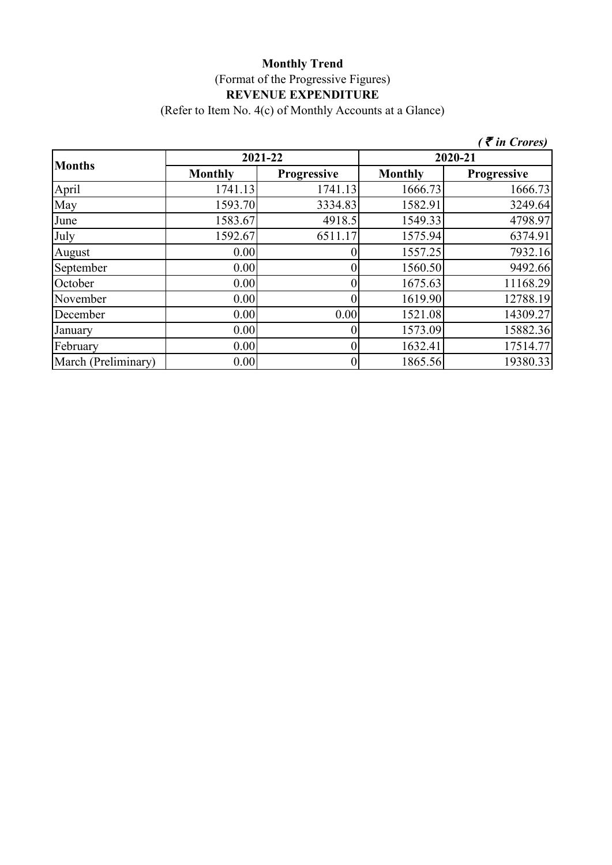(Refer to Item No. 4(c) of Monthly Accounts at a Glance)

|                     |                |                    |                | $($ ₹ in Crores)   |  |
|---------------------|----------------|--------------------|----------------|--------------------|--|
| <b>Months</b>       |                | 2021-22            | 2020-21        |                    |  |
|                     | <b>Monthly</b> | <b>Progressive</b> | <b>Monthly</b> | <b>Progressive</b> |  |
| April               | 1741.13        | 1741.13            | 1666.73        | 1666.73            |  |
| May                 | 1593.70        | 3334.83            | 1582.91        | 3249.64            |  |
| June                | 1583.67        | 4918.5             | 1549.33        | 4798.97            |  |
| July                | 1592.67        | 6511.17            | 1575.94        | 6374.91            |  |
| August              | 0.00           |                    | 1557.25        | 7932.16            |  |
| September           | 0.00           |                    | 1560.50        | 9492.66            |  |
| October             | 0.00           |                    | 1675.63        | 11168.29           |  |
| November            | 0.00           |                    | 1619.90        | 12788.19           |  |
| December            | 0.00           | 0.00               | 1521.08        | 14309.27           |  |
| January             | 0.00           |                    | 1573.09        | 15882.36           |  |
| February            | 0.00           |                    | 1632.41        | 17514.77           |  |
| March (Preliminary) | 0.00           |                    | 1865.56        | 19380.33           |  |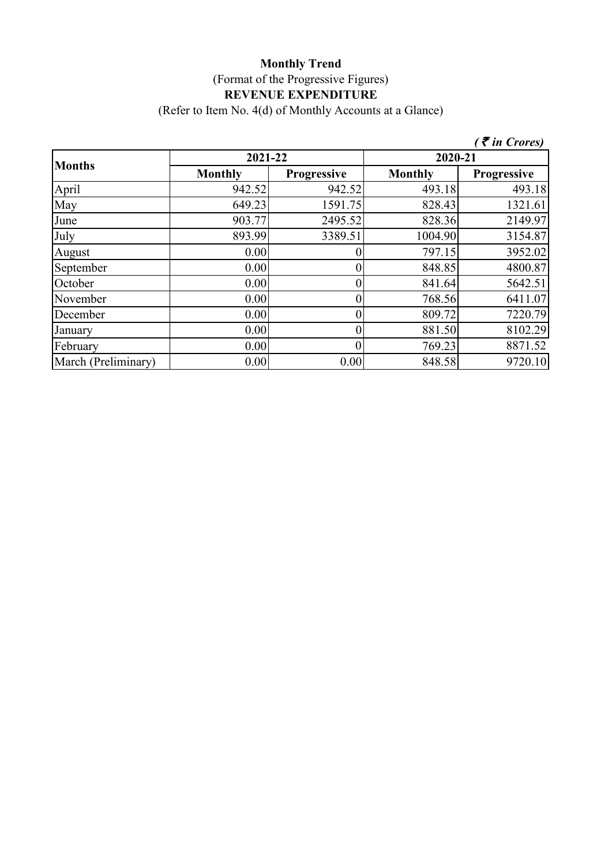(Refer to Item No. 4(d) of Monthly Accounts at a Glance)

|                     |                |                    |                | $($ ₹ in Crores)   |  |
|---------------------|----------------|--------------------|----------------|--------------------|--|
|                     | 2021-22        |                    | 2020-21        |                    |  |
| <b>Months</b>       | <b>Monthly</b> | <b>Progressive</b> | <b>Monthly</b> | <b>Progressive</b> |  |
| April               | 942.52         | 942.52             | 493.18         | 493.18             |  |
| May                 | 649.23         | 1591.75            | 828.43         | 1321.61            |  |
| June                | 903.77         | 2495.52            | 828.36         | 2149.97            |  |
| July                | 893.99         | 3389.51            | 1004.90        | 3154.87            |  |
| August              | 0.00           |                    | 797.15         | 3952.02            |  |
| September           | 0.00           |                    | 848.85         | 4800.87            |  |
| October             | 0.00           |                    | 841.64         | 5642.51            |  |
| November            | 0.00           | 0                  | 768.56         | 6411.07            |  |
| December            | 0.00           | 0                  | 809.72         | 7220.79            |  |
| January             | 0.00           | 0                  | 881.50         | 8102.29            |  |
| February            | 0.00           |                    | 769.23         | 8871.52            |  |
| March (Preliminary) | 0.00           | 0.00               | 848.58         | 9720.10            |  |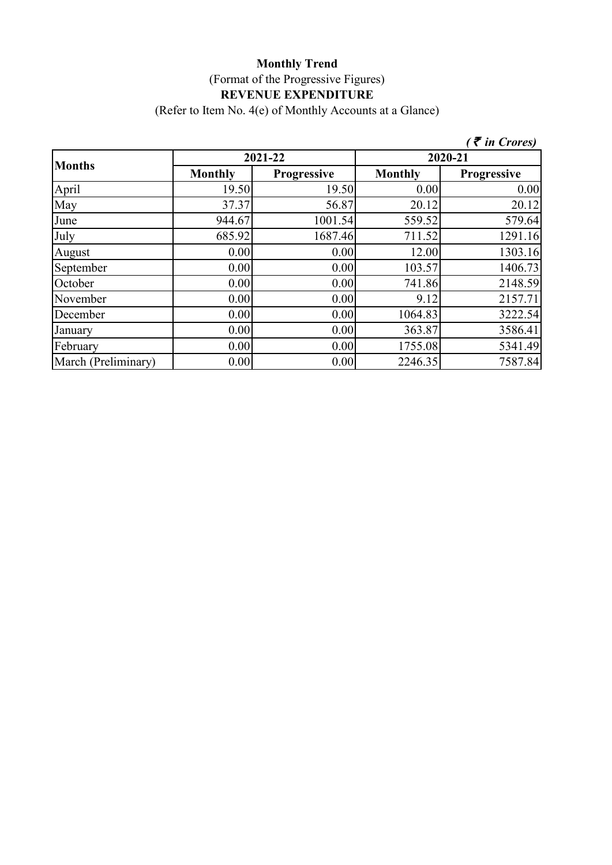(Refer to Item No. 4(e) of Monthly Accounts at a Glance)

|                     |                |                    |                | $($ ₹ in Crores)   |
|---------------------|----------------|--------------------|----------------|--------------------|
| <b>Months</b>       |                | 2021-22            | 2020-21        |                    |
|                     | <b>Monthly</b> | <b>Progressive</b> | <b>Monthly</b> | <b>Progressive</b> |
| April               | 19.50          | 19.50              | 0.00           | 0.00               |
| May                 | 37.37          | 56.87              | 20.12          | 20.12              |
| June                | 944.67         | 1001.54            | 559.52         | 579.64             |
| July                | 685.92         | 1687.46            | 711.52         | 1291.16            |
| August              | 0.00           | 0.00               | 12.00          | 1303.16            |
| September           | 0.00           | 0.00               | 103.57         | 1406.73            |
| October             | 0.00           | 0.00               | 741.86         | 2148.59            |
| November            | 0.00           | 0.00               | 9.12           | 2157.71            |
| December            | 0.00           | 0.00               | 1064.83        | 3222.54            |
| January             | 0.00           | 0.00               | 363.87         | 3586.41            |
| February            | 0.00           | 0.00               | 1755.08        | 5341.49            |
| March (Preliminary) | 0.00           | 0.00               | 2246.35        | 7587.84            |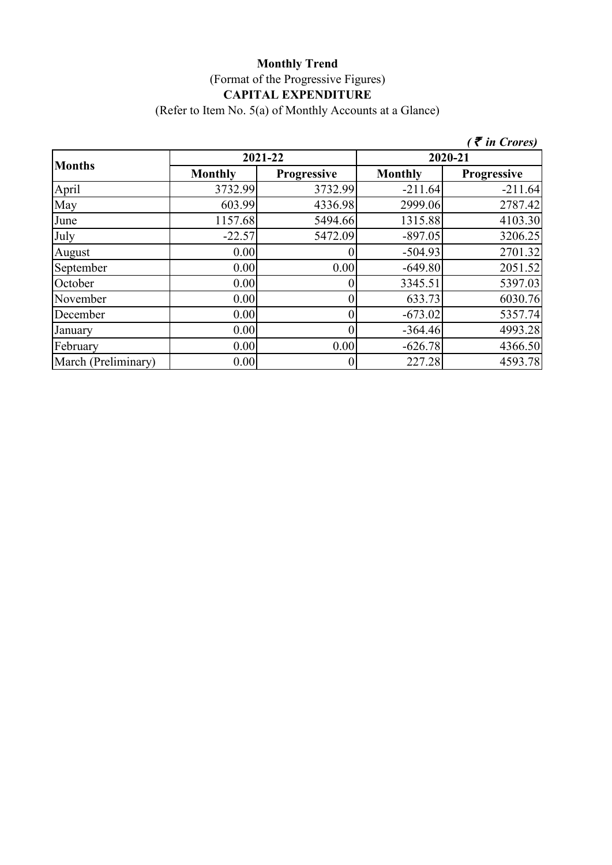# **Monthly Trend** (Format of the Progressive Figures) **CAPITAL EXPENDITURE**

(Refer to Item No. 5(a) of Monthly Accounts at a Glance)

|                     |                |                    |                | $($ ₹ in Crores)   |
|---------------------|----------------|--------------------|----------------|--------------------|
|                     | 2021-22        |                    | 2020-21        |                    |
| <b>Months</b>       | <b>Monthly</b> | <b>Progressive</b> | <b>Monthly</b> | <b>Progressive</b> |
| April               | 3732.99        | 3732.99            | $-211.64$      | $-211.64$          |
| May                 | 603.99         | 4336.98            | 2999.06        | 2787.42            |
| June                | 1157.68        | 5494.66            | 1315.88        | 4103.30            |
| July                | $-22.57$       | 5472.09            | $-897.05$      | 3206.25            |
| August              | 0.00           |                    | $-504.93$      | 2701.32            |
| September           | 0.00           | 0.00               | $-649.80$      | 2051.52            |
| October             | 0.00           |                    | 3345.51        | 5397.03            |
| November            | 0.00           | $\overline{0}$     | 633.73         | 6030.76            |
| December            | 0.00           |                    | $-673.02$      | 5357.74            |
| January             | 0.00           | 0                  | $-364.46$      | 4993.28            |
| February            | 0.00           | 0.00               | $-626.78$      | 4366.50            |
| March (Preliminary) | 0.00           | $\boldsymbol{0}$   | 227.28         | 4593.78            |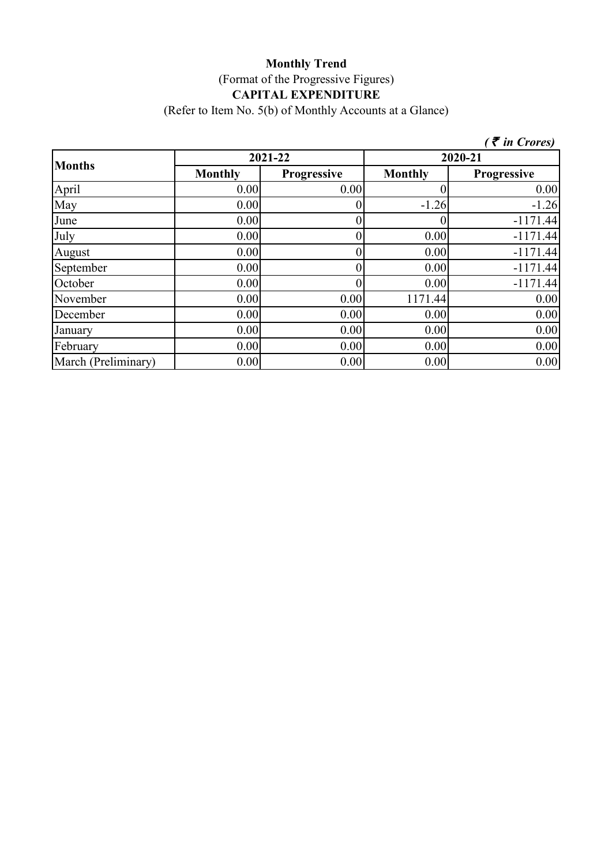# **Monthly Trend** (Format of the Progressive Figures) **CAPITAL EXPENDITURE**

(Refer to Item No. 5(b) of Monthly Accounts at a Glance)

|                     |                |                    |                | $($ $\bar{\bar{\tau}}$ in Crores) |
|---------------------|----------------|--------------------|----------------|-----------------------------------|
| <b>Months</b>       | 2021-22        |                    | 2020-21        |                                   |
|                     | <b>Monthly</b> | <b>Progressive</b> | <b>Monthly</b> | <b>Progressive</b>                |
| April               | 0.00           | 0.00               |                | 0.00                              |
| May                 | 0.00           |                    | $-1.26$        | $-1.26$                           |
| June                | 0.00           |                    |                | $-1171.44$                        |
| July                | 0.00           |                    | 0.00           | $-1171.44$                        |
| August              | 0.00           |                    | 0.00           | $-1171.44$                        |
| September           | 0.00           |                    | 0.00           | $-1171.44$                        |
| October             | 0.00           |                    | 0.00           | $-1171.44$                        |
| November            | 0.00           | 0.00               | 1171.44        | 0.00                              |
| December            | 0.00           | 0.00               | 0.00           | 0.00                              |
| January             | 0.00           | 0.00               | 0.00           | 0.00                              |
| February            | 0.00           | 0.00               | 0.00           | 0.00                              |
| March (Preliminary) | 0.00           | 0.00               | 0.00           | 0.00                              |